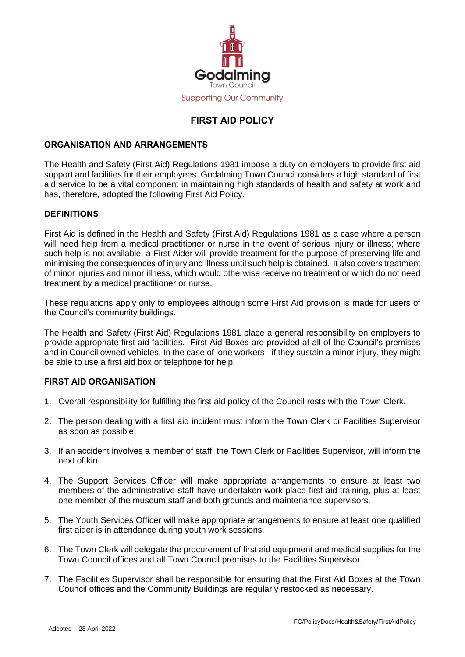

# **FIRST AID POLICY**

## **ORGANISATION AND ARRANGEMENTS**

The Health and Safety (First Aid) Regulations 1981 impose a duty on employers to provide first aid support and facilities for their employees. Godalming Town Council considers a high standard of first aid service to be a vital component in maintaining high standards of health and safety at work and has, therefore, adopted the following First Aid Policy.

#### **DEFINITIONS**

First Aid is defined in the Health and Safety (First Aid) Regulations 1981 as a case where a person will need help from a medical practitioner or nurse in the event of serious injury or illness; where such help is not available, a First Aider will provide treatment for the purpose of preserving life and minimising the consequences of injury and illness until such help is obtained. It also covers treatment of minor injuries and minor illness, which would otherwise receive no treatment or which do not need treatment by a medical practitioner or nurse.

These regulations apply only to employees although some First Aid provision is made for users of the Council's community buildings.

The Health and Safety (First Aid) Regulations 1981 place a general responsibility on employers to provide appropriate first aid facilities. First Aid Boxes are provided at all of the Council's premises and in Council owned vehicles. In the case of lone workers - if they sustain a minor injury, they might be able to use a first aid box or telephone for help.

### **FIRST AID ORGANISATION**

- 1. Overall responsibility for fulfilling the first aid policy of the Council rests with the Town Clerk.
- 2. The person dealing with a first aid incident must inform the Town Clerk or Facilities Supervisor as soon as possible.
- 3. If an accident involves a member of staff, the Town Clerk or Facilities Supervisor, will inform the next of kin.
- 4. The Support Services Officer will make appropriate arrangements to ensure at least two members of the administrative staff have undertaken work place first aid training, plus at least one member of the museum staff and both grounds and maintenance supervisors.
- 5. The Youth Services Officer will make appropriate arrangements to ensure at least one qualified first aider is in attendance during youth work sessions.
- 6. The Town Clerk will delegate the procurement of first aid equipment and medical supplies for the Town Council offices and all Town Council premises to the Facilities Supervisor.
- 7. The Facilities Supervisor shall be responsible for ensuring that the First Aid Boxes at the Town Council offices and the Community Buildings are regularly restocked as necessary.